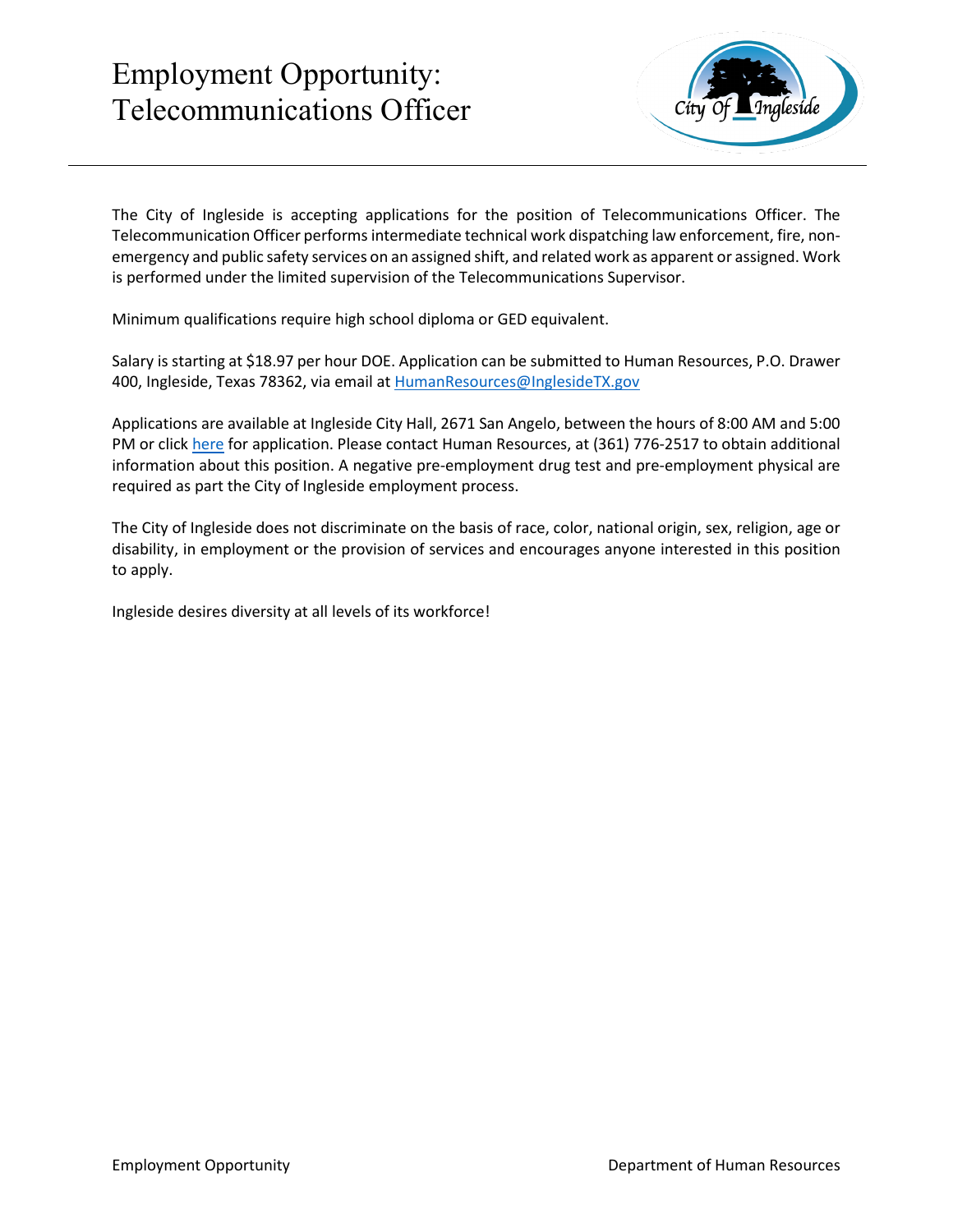# Employment Opportunity: Telecommunications Officer



The City of Ingleside is accepting applications for the position of Telecommunications Officer. The Telecommunication Officer performs intermediate technical work dispatching law enforcement, fire, nonemergency and public safety services on an assigned shift, and related work as apparent or assigned. Work is performed under the limited supervision of the Telecommunications Supervisor.

Minimum qualifications require high school diploma or GED equivalent.

Salary is starting at \$18.97 per hour DOE. Application can be submitted to Human Resources, P.O. Drawer 400, Ingleside, Texas 78362, via email a[t HumanResources@InglesideTX.gov](mailto:HumanResources@InglesideTX.gov)

Applications are available at Ingleside City Hall, 2671 San Angelo, between the hours of 8:00 AM and 5:00 PM or clic[k here](https://itx.nyc3.cdn.digitaloceanspaces.com/wp-content/uploads/2020/09/Police-Court-Employment.pdf) for application. Please contact Human Resources, at (361) 776-2517 to obtain additional information about this position. A negative pre-employment drug test and pre-employment physical are required as part the City of Ingleside employment process.

The City of Ingleside does not discriminate on the basis of race, color, national origin, sex, religion, age or disability, in employment or the provision of services and encourages anyone interested in this position to apply.

Ingleside desires diversity at all levels of its workforce!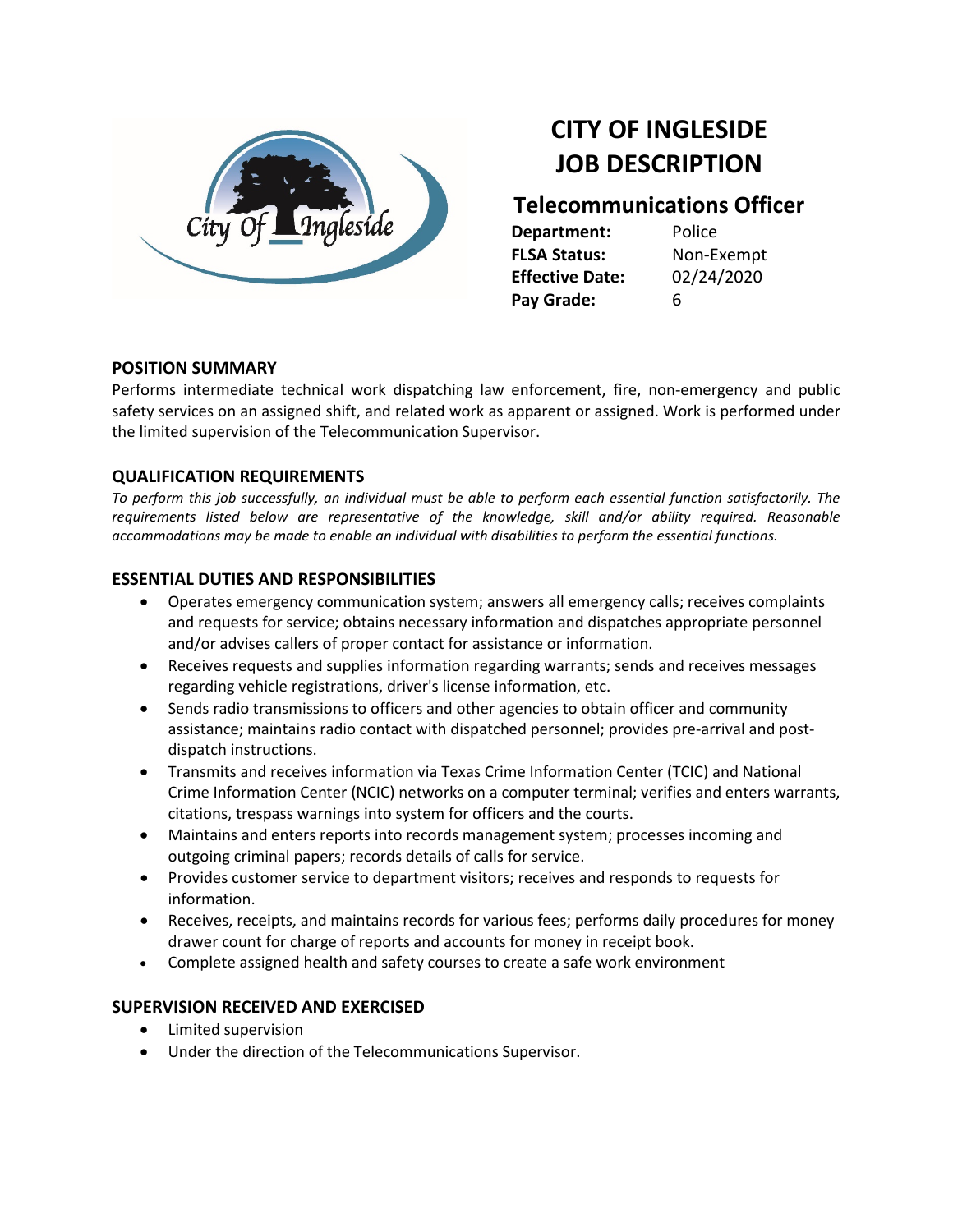

## **CITY OF INGLESIDE JOB DESCRIPTION**

### **Telecommunications Officer**

**Department:** Police **FLSA Status:** Non-Exempt **Effective Date:** 02/24/2020 **Pay Grade:** 6

#### **POSITION SUMMARY**

Performs intermediate technical work dispatching law enforcement, fire, non-emergency and public safety services on an assigned shift, and related work as apparent or assigned. Work is performed under the limited supervision of the Telecommunication Supervisor.

#### **QUALIFICATION REQUIREMENTS**

*To perform this job successfully, an individual must be able to perform each essential function satisfactorily. The requirements listed below are representative of the knowledge, skill and/or ability required. Reasonable accommodations may be made to enable an individual with disabilities to perform the essential functions.*

#### **ESSENTIAL DUTIES AND RESPONSIBILITIES**

- Operates emergency communication system; answers all emergency calls; receives complaints and requests for service; obtains necessary information and dispatches appropriate personnel and/or advises callers of proper contact for assistance or information.
- Receives requests and supplies information regarding warrants; sends and receives messages regarding vehicle registrations, driver's license information, etc.
- Sends radio transmissions to officers and other agencies to obtain officer and community assistance; maintains radio contact with dispatched personnel; provides pre-arrival and postdispatch instructions.
- Transmits and receives information via Texas Crime Information Center (TCIC) and National Crime Information Center (NCIC) networks on a computer terminal; verifies and enters warrants, citations, trespass warnings into system for officers and the courts.
- Maintains and enters reports into records management system; processes incoming and outgoing criminal papers; records details of calls for service.
- Provides customer service to department visitors; receives and responds to requests for information.
- Receives, receipts, and maintains records for various fees; performs daily procedures for money drawer count for charge of reports and accounts for money in receipt book.
- Complete assigned health and safety courses to create a safe work environment

#### **SUPERVISION RECEIVED AND EXERCISED**

- Limited supervision
- Under the direction of the Telecommunications Supervisor.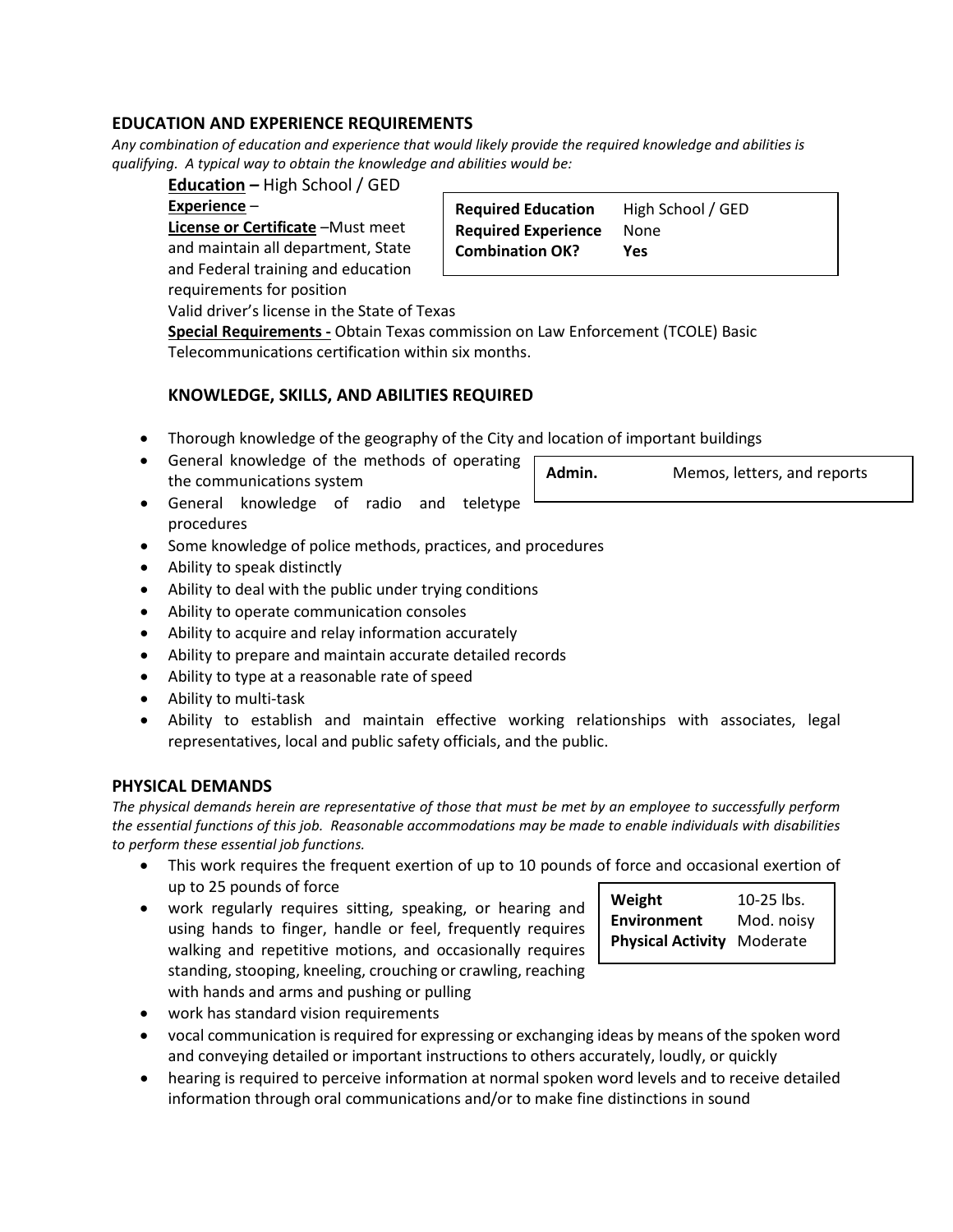#### **EDUCATION AND EXPERIENCE REQUIREMENTS**

*Any combination of education and experience that would likely provide the required knowledge and abilities is qualifying. A typical way to obtain the knowledge and abilities would be:*

**Education** *–* High School / GED

#### **Experience** –

**License or Certificate** –Must meet and maintain all department, State and Federal training and education requirements for position

Valid driver's license in the State of Texas

**Special Requirements -** Obtain Texas commission on Law Enforcement (TCOLE) Basic Telecommunications certification within six months.

#### **KNOWLEDGE, SKILLS, AND ABILITIES REQUIRED**

- Thorough knowledge of the geography of the City and location of important buildings
- General knowledge of the methods of operating the communications system
- General knowledge of radio and teletype procedures
- Some knowledge of police methods, practices, and procedures
- Ability to speak distinctly
- Ability to deal with the public under trying conditions
- Ability to operate communication consoles
- Ability to acquire and relay information accurately
- Ability to prepare and maintain accurate detailed records
- Ability to type at a reasonable rate of speed
- Ability to multi-task
- Ability to establish and maintain effective working relationships with associates, legal representatives, local and public safety officials, and the public.

#### **PHYSICAL DEMANDS**

*The physical demands herein are representative of those that must be met by an employee to successfully perform the essential functions of this job. Reasonable accommodations may be made to enable individuals with disabilities to perform these essential job functions.*

- This work requires the frequent exertion of up to 10 pounds of force and occasional exertion of up to 25 pounds of force
- work regularly requires sitting, speaking, or hearing and using hands to finger, handle or feel, frequently requires walking and repetitive motions, and occasionally requires standing, stooping, kneeling, crouching or crawling, reaching with hands and arms and pushing or pulling
- work has standard vision requirements
- vocal communication is required for expressing or exchanging ideas by means of the spoken word and conveying detailed or important instructions to others accurately, loudly, or quickly
- hearing is required to perceive information at normal spoken word levels and to receive detailed information through oral communications and/or to make fine distinctions in sound

| Weight                   | $10-25$ lbs. |
|--------------------------|--------------|
| <b>Environment</b>       | Mod. noisy   |
| <b>Physical Activity</b> | Moderate     |

Admin. Memos, letters, and reports

**Required Education** High School / GED **Required Experience** None **Combination OK? Yes**